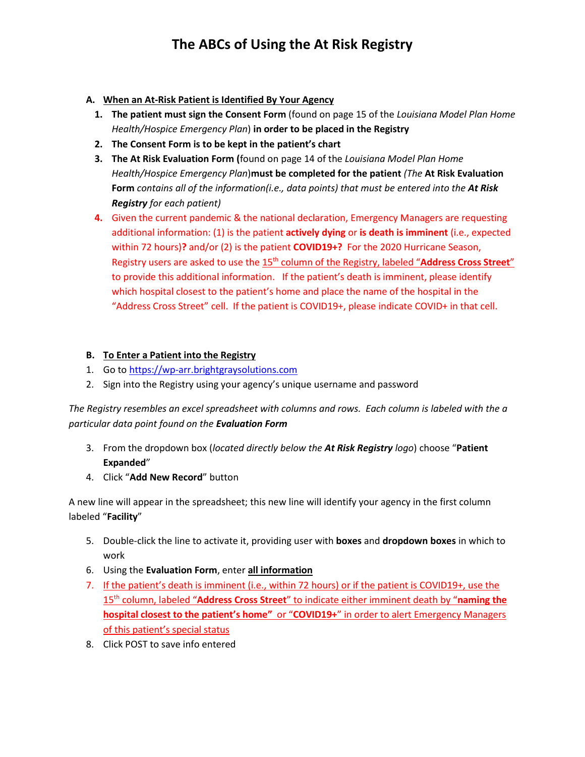## **The ABCs of Using the At Risk Registry**

### **A. When an At-Risk Patient is Identified By Your Agency**

- **1. The patient must sign the Consent Form** (found on page 15 of the *Louisiana Model Plan Home Health/Hospice Emergency Plan*) **in order to be placed in the Registry**
- **2. The Consent Form is to be kept in the patient's chart**
- **3. The At Risk Evaluation Form (**found on page 14 of the *Louisiana Model Plan Home Health/Hospice Emergency Plan*)**must be completed for the patient** *(The* **At Risk Evaluation Form** *contains all of the information(i.e., data points) that must be entered into the At Risk Registry for each patient)*
- **4.** Given the current pandemic & the national declaration, Emergency Managers are requesting additional information: (1) is the patient **actively dying** or **is death is imminent** (i.e., expected within 72 hours)**?** and/or (2) is the patient **COVID19+?** For the 2020 Hurricane Season, Registry users are asked to use the 15<sup>th</sup> column of the Registry, labeled "Address Cross Street" to provide this additional information.If the patient's death is imminent, please identify which hospital closest to the patient's home and place the name of the hospital in the "Address Cross Street" cell. If the patient is COVID19+, please indicate COVID+ in that cell.

## **B. To Enter a Patient into the Registry**

- 1. Go to [https://wp-arr.brightgraysolutions.com](https://wp-arr.brightgraysolutions.com/)
- 2. Sign into the Registry using your agency's unique username and password

*The Registry resembles an excel spreadsheet with columns and rows. Each column is labeled with the a particular data point found on the Evaluation Form*

- 3. From the dropdown box (*located directly below the At Risk Registry logo*) choose "**Patient Expanded**"
- 4. Click "**Add New Record**" button

A new line will appear in the spreadsheet; this new line will identify your agency in the first column labeled "**Facility**"

- 5. Double-click the line to activate it, providing user with **boxes** and **dropdown boxes** in which to work
- 6. Using the **Evaluation Form**, enter **all information**
- 7. If the patient's death is imminent (i.e., within 72 hours) or if the patient is COVID19+, use the 15th column, labeled "**Address Cross Street**" to indicate either imminent death by "**naming the hospital closest to the patient's home"** or "**COVID19+**" in order to alert Emergency Managers of this patient's special status
- 8. Click POST to save info entered